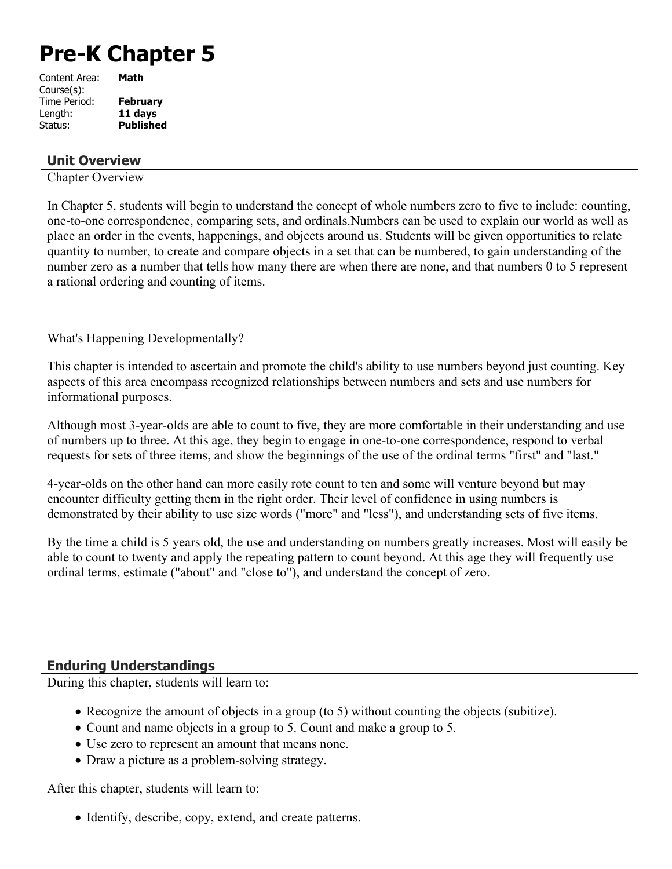# **Pre-K Chapter 5**

| Content Area: | Math             |
|---------------|------------------|
| Course(s):    |                  |
| Time Period:  | February         |
| Length:       | 11 days          |
| Status:       | <b>Published</b> |
|               |                  |

# **Unit Overview**

Chapter Overview

In Chapter 5, students will begin to understand the concept of whole numbers zero to five to include: counting, one-to-one correspondence, comparing sets, and ordinals.Numbers can be used to explain our world as well as place an order in the events, happenings, and objects around us. Students will be given opportunities to relate quantity to number, to create and compare objects in a set that can be numbered, to gain understanding of the number zero as a number that tells how many there are when there are none, and that numbers 0 to 5 represent a rational ordering and counting of items.

What's Happening Developmentally?

This chapter is intended to ascertain and promote the child's ability to use numbers beyond just counting. Key aspects of this area encompass recognized relationships between numbers and sets and use numbers for informational purposes.

Although most 3-year-olds are able to count to five, they are more comfortable in their understanding and use of numbers up to three. At this age, they begin to engage in one-to-one correspondence, respond to verbal requests for sets of three items, and show the beginnings of the use of the ordinal terms "first" and "last."

4-year-olds on the other hand can more easily rote count to ten and some will venture beyond but may encounter difficulty getting them in the right order. Their level of confidence in using numbers is demonstrated by their ability to use size words ("more" and "less"), and understanding sets of five items.

By the time a child is 5 years old, the use and understanding on numbers greatly increases. Most will easily be able to count to twenty and apply the repeating pattern to count beyond. At this age they will frequently use ordinal terms, estimate ("about" and "close to"), and understand the concept of zero.

# **Enduring Understandings**

During this chapter, students will learn to:

- Recognize the amount of objects in a group (to 5) without counting the objects (subitize).
- Count and name objects in a group to 5. Count and make a group to 5.
- Use zero to represent an amount that means none.
- Draw a picture as a problem-solving strategy.

After this chapter, students will learn to:

• Identify, describe, copy, extend, and create patterns.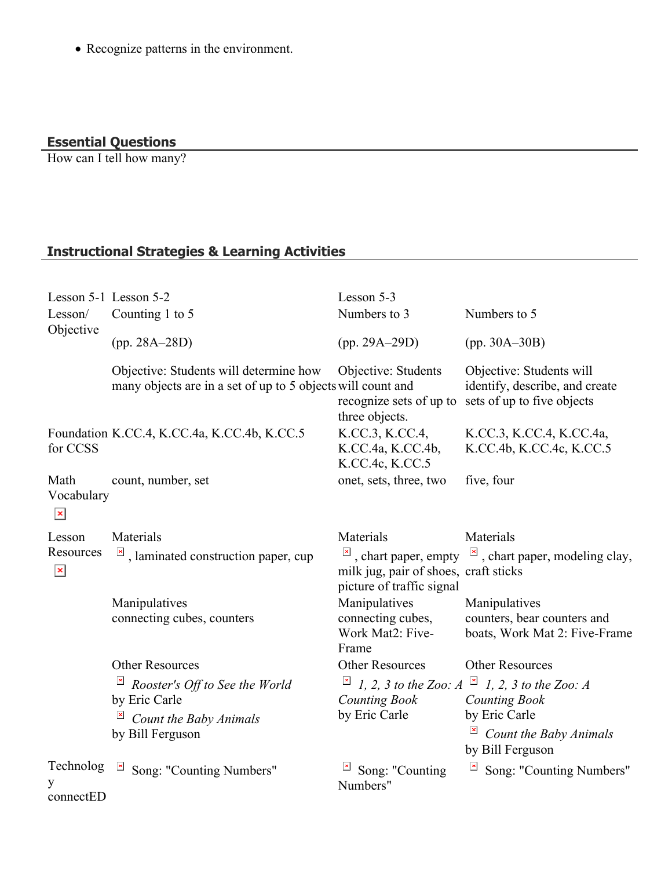Recognize patterns in the environment.

#### **Essential Questions**

How can I tell how many?

# **Instructional Strategies & Learning Activities**

| Lesson 5-1 Lesson 5-2<br>Lesson/<br>Objective | Counting 1 to 5                                                                                       | Lesson 5-3<br>Numbers to 3                                                      | Numbers to 5                                                                                  |
|-----------------------------------------------|-------------------------------------------------------------------------------------------------------|---------------------------------------------------------------------------------|-----------------------------------------------------------------------------------------------|
|                                               | $(pp. 28A - 28D)$                                                                                     | $(pp. 29A - 29D)$                                                               | $(pp. 30A - 30B)$                                                                             |
|                                               | Objective: Students will determine how<br>many objects are in a set of up to 5 objects will count and | Objective: Students<br>recognize sets of up to<br>three objects.                | Objective: Students will<br>identify, describe, and create<br>sets of up to five objects      |
| for CCSS                                      | Foundation K.CC.4, K.CC.4a, K.CC.4b, K.CC.5                                                           | K.CC.3, K.CC.4,<br>K.CC.4a, K.CC.4b,<br>K.CC.4c, K.CC.5                         | K.CC.3, K.CC.4, K.CC.4a,<br>K.CC.4b, K.CC.4c, K.CC.5                                          |
| Math<br>Vocabulary<br>$\mathbf{x}$            | count, number, set                                                                                    | onet, sets, three, two                                                          | five, four                                                                                    |
| Lesson<br>Resources<br>$\pmb{\times}$         | Materials<br>$\frac{ \mathbf{x} }{n}$ , laminated construction paper, cup                             | Materials<br>milk jug, pair of shoes, craft sticks<br>picture of traffic signal | Materials<br>$\overline{a}$ , chart paper, empty $\overline{a}$ , chart paper, modeling clay, |
|                                               | Manipulatives<br>connecting cubes, counters                                                           | Manipulatives<br>connecting cubes,<br>Work Mat2: Five-<br>Frame                 | Manipulatives<br>counters, bear counters and<br>boats, Work Mat 2: Five-Frame                 |
|                                               | <b>Other Resources</b>                                                                                | <b>Other Resources</b>                                                          | <b>Other Resources</b>                                                                        |
|                                               | Rooster's Off to See the World<br>by Eric Carle                                                       | $1, 2, 3$ to the Zoo: A<br><b>Counting Book</b>                                 | $\mathbf{x}$<br>1, 2, 3 to the Zoo: A<br><b>Counting Book</b>                                 |
|                                               | Count the Baby Animals<br>by Bill Ferguson                                                            | by Eric Carle                                                                   | by Eric Carle<br>Count the Baby Animals<br>by Bill Ferguson                                   |
| Technolog<br>y<br>connectED                   | Song: "Counting Numbers"                                                                              | Song: "Counting<br>Numbers"                                                     | Song: "Counting Numbers"                                                                      |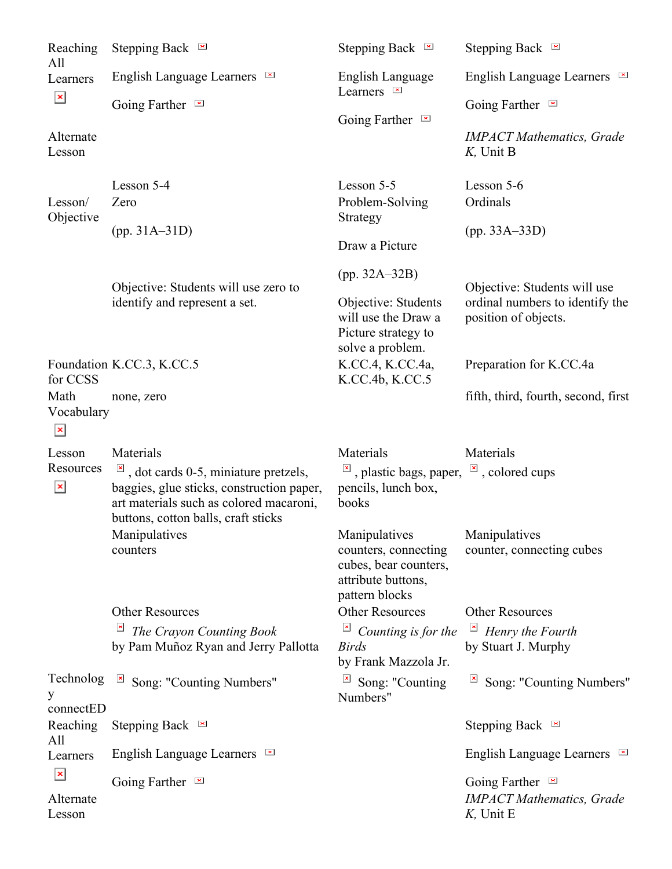| Reaching<br>All                                                          | Stepping Back $\approx$                                                                                                                                                                                            | Stepping Back $\blacksquare$                                                                                                         | Stepping Back $\blacksquare$                                                                                       |
|--------------------------------------------------------------------------|--------------------------------------------------------------------------------------------------------------------------------------------------------------------------------------------------------------------|--------------------------------------------------------------------------------------------------------------------------------------|--------------------------------------------------------------------------------------------------------------------|
| Learners<br>$\pmb{\mathsf{x}}$<br>Alternate<br>Lesson                    | English Language Learners <b>E</b>                                                                                                                                                                                 | English Language<br>Learners $\blacksquare$<br>Going Farther $\blacksquare$                                                          | English Language Learners                                                                                          |
|                                                                          | Going Farther $\blacksquare$                                                                                                                                                                                       |                                                                                                                                      | Going Farther $\blacksquare$                                                                                       |
|                                                                          |                                                                                                                                                                                                                    |                                                                                                                                      | <b>IMPACT</b> Mathematics, Grade<br>$K$ , Unit B                                                                   |
| Lesson/<br>Objective<br>for CCSS<br>Math<br>Vocabulary<br>$\pmb{\times}$ | Lesson 5-4                                                                                                                                                                                                         | Lesson 5-5                                                                                                                           | Lesson 5-6                                                                                                         |
|                                                                          | Zero                                                                                                                                                                                                               | Problem-Solving<br>Strategy<br>Draw a Picture                                                                                        | Ordinals                                                                                                           |
|                                                                          | $(pp. 31A-31D)$                                                                                                                                                                                                    |                                                                                                                                      | $(pp. 33A-33D)$                                                                                                    |
|                                                                          | Objective: Students will use zero to<br>identify and represent a set.                                                                                                                                              | $(pp. 32A - 32B)$<br>Objective: Students<br>will use the Draw a                                                                      | Objective: Students will use<br>ordinal numbers to identify the<br>position of objects.<br>Preparation for K.CC.4a |
|                                                                          | Foundation K.CC.3, K.CC.5                                                                                                                                                                                          | Picture strategy to<br>solve a problem.<br>K.CC.4, K.CC.4a,                                                                          |                                                                                                                    |
|                                                                          | none, zero                                                                                                                                                                                                         | K.CC.4b, K.CC.5                                                                                                                      | fifth, third, fourth, second, first                                                                                |
| Lesson<br>Resources<br>$\pmb{\times}$                                    | Materials<br>$\frac{ \mathbf{x} }{\mathbf{y}}$ , dot cards 0-5, miniature pretzels,<br>baggies, glue sticks, construction paper,<br>art materials such as colored macaroni,<br>buttons, cotton balls, craft sticks | Materials<br>$\frac{ \mathbf{x} }{n}$ , plastic bags, paper, $\frac{ \mathbf{x} }{n}$ , colored cups<br>pencils, lunch box,<br>books | Materials                                                                                                          |
|                                                                          | Manipulatives<br>counters                                                                                                                                                                                          | Manipulatives<br>counters, connecting<br>cubes, bear counters,<br>attribute buttons,<br>pattern blocks                               | Manipulatives<br>counter, connecting cubes                                                                         |
|                                                                          | <b>Other Resources</b>                                                                                                                                                                                             | <b>Other Resources</b>                                                                                                               | Other Resources                                                                                                    |
|                                                                          | $\overline{a}$<br>The Crayon Counting Book<br>by Pam Muñoz Ryan and Jerry Pallotta                                                                                                                                 | Counting is for the<br><b>Birds</b><br>by Frank Mazzola Jr.                                                                          | Henry the Fourth<br>by Stuart J. Murphy                                                                            |
| Technolog<br>y                                                           | Song: "Counting Numbers"                                                                                                                                                                                           | Song: "Counting<br>Numbers"                                                                                                          | Song: "Counting Numbers"                                                                                           |
| connectED<br>Reaching<br>All                                             | Stepping Back $\approx$                                                                                                                                                                                            |                                                                                                                                      | Stepping Back $\approx$                                                                                            |
| Learners                                                                 | English Language Learners $\blacksquare$                                                                                                                                                                           |                                                                                                                                      | English Language Learners <b>E</b>                                                                                 |
| $\mathbf{x}$<br>Alternate<br>Lesson                                      | Going Farther $\blacksquare$                                                                                                                                                                                       |                                                                                                                                      | Going Farther<br><b>IMPACT Mathematics</b> , Grade<br>$K$ , Unit E                                                 |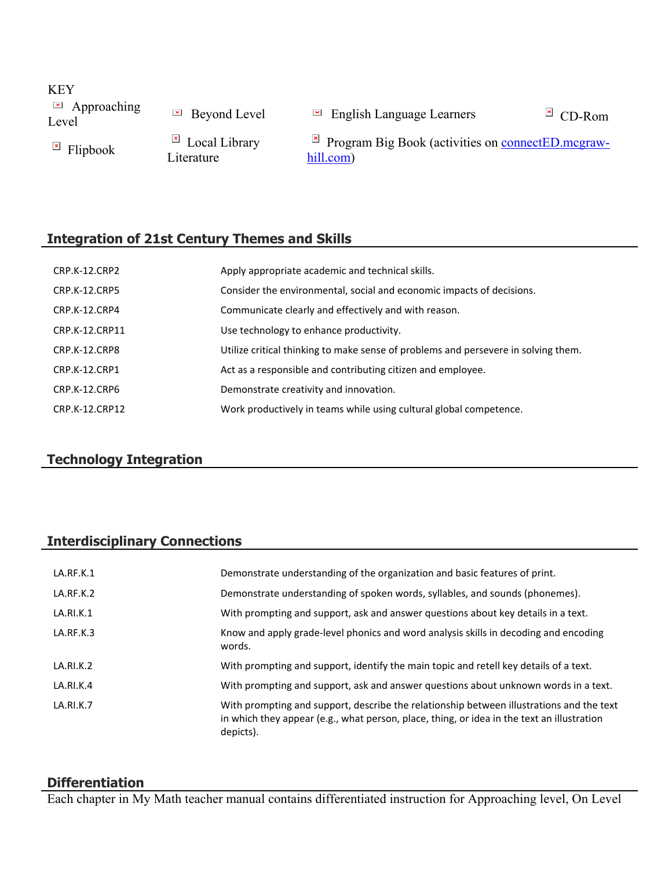**KEY E** Approaching

 $\Box$  Approaching  $\Box$  Beyond Level  $\Box$  English Language Learners  $\Box$  CD-Rom

 $\overline{F}$  Flipbook  $\overline{F}$  Local Library Literature

 $\overline{P}$  Program Big Book (activities on [connectED.mcgraw](https://connected.mcgraw-hill.com/)[hill.com\)](https://connected.mcgraw-hill.com/)

# **Integration of 21st Century Themes and Skills**

| CRP.K-12.CRP2        | Apply appropriate academic and technical skills.                                   |
|----------------------|------------------------------------------------------------------------------------|
| <b>CRP.K-12.CRP5</b> | Consider the environmental, social and economic impacts of decisions.              |
| CRP.K-12.CRP4        | Communicate clearly and effectively and with reason.                               |
| CRP.K-12.CRP11       | Use technology to enhance productivity.                                            |
| CRP.K-12.CRP8        | Utilize critical thinking to make sense of problems and persevere in solving them. |
| CRP.K-12.CRP1        | Act as a responsible and contributing citizen and employee.                        |
| CRP.K-12.CRP6        | Demonstrate creativity and innovation.                                             |
| CRP.K-12.CRP12       | Work productively in teams while using cultural global competence.                 |

# **Technology Integration**

# **Interdisciplinary Connections**

| LA.RF.K.1 | Demonstrate understanding of the organization and basic features of print.                                                                                                                          |
|-----------|-----------------------------------------------------------------------------------------------------------------------------------------------------------------------------------------------------|
| LA.RF.K.2 | Demonstrate understanding of spoken words, syllables, and sounds (phonemes).                                                                                                                        |
| LA.RI.K.1 | With prompting and support, ask and answer questions about key details in a text.                                                                                                                   |
| LA.RF.K.3 | Know and apply grade-level phonics and word analysis skills in decoding and encoding<br>words.                                                                                                      |
| LA.RI.K.2 | With prompting and support, identify the main topic and retell key details of a text.                                                                                                               |
| LA.RI.K.4 | With prompting and support, ask and answer questions about unknown words in a text.                                                                                                                 |
| LA.RI.K.7 | With prompting and support, describe the relationship between illustrations and the text<br>in which they appear (e.g., what person, place, thing, or idea in the text an illustration<br>depicts). |

## **Differentiation**

Each chapter in My Math teacher manual contains differentiated instruction for Approaching level, On Level